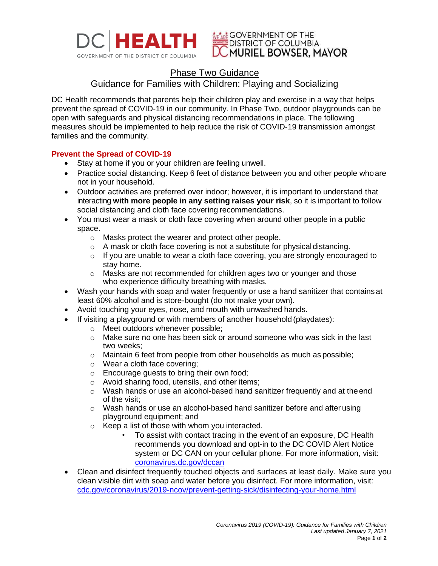

## **WE ADE GOVERNMENT OF THE DISTRICT OF COLUMBIA** MURIEL BOWSER. MAYOR

# Phase Two Guidance Guidance for Families with Children: Playing and Socializing

DC Health recommends that parents help their children play and exercise in a way that helps prevent the spread of COVID-19 in our community. In Phase Two, outdoor playgrounds can be open with safeguards and physical distancing recommendations in place. The following measures should be implemented to help reduce the risk of COVID-19 transmission amongst families and the community.

## **Prevent the Spread of COVID-19**

- Stay at home if you or your children are feeling unwell.
- Practice social distancing. Keep 6 feet of distance between you and other people who are not in your household.
- Outdoor activities are preferred over indoor; however, it is important to understand that interacting **with more people in any setting raises your risk**, so it is important to follow social distancing and cloth face covering recommendations.
- You must wear a mask or cloth face covering when around other people in a public space.
	- o Masks protect the wearer and protect other people.
	- o A mask or cloth face covering is not a substitute for physicaldistancing.
	- o If you are unable to wear a cloth face covering, you are strongly encouraged to stay home.
	- o Masks are not recommended for children ages two or younger and those who experience difficulty breathing with masks.
- Wash your hands with soap and water frequently or use a hand sanitizer that contains at least 60% alcohol and is store-bought (do not make your own).
- Avoid touching your eyes, nose, and mouth with unwashed hands.
- If visiting a playground or with members of another household (playdates):
	- o Meet outdoors whenever possible;
	- $\circ$  Make sure no one has been sick or around someone who was sick in the last two weeks;
	- o Maintain 6 feet from people from other households as much as possible;
	- o Wear a cloth face covering;
	- o Encourage guests to bring their own food;
	- o Avoid sharing food, utensils, and other items;
	- $\circ$  Wash hands or use an alcohol-based hand sanitizer frequently and at the end of the visit;
	- o Wash hands or use an alcohol-based hand sanitizer before and after using playground equipment; and
	- o Keep a list of those with whom you interacted.
		- To assist with contact tracing in the event of an exposure, DC Health recommends you download and opt-in to the DC COVID Alert Notice system or DC CAN on your cellular phone. For more information, visit: [coronavirus.dc.gov/dccan](https://coronavirus.dc.gov/dccan)
- Clean and disinfect frequently touched objects and surfaces at least daily. Make sure you clean visible dirt with soap and water before you disinfect. For more information, visit: [cdc.gov/coronavirus/2019-ncov/prevent-getting-sick/disinfecting-your-home.html](https://www.cdc.gov/coronavirus/2019-ncov/prevent-getting-sick/disinfecting-your-home.html)